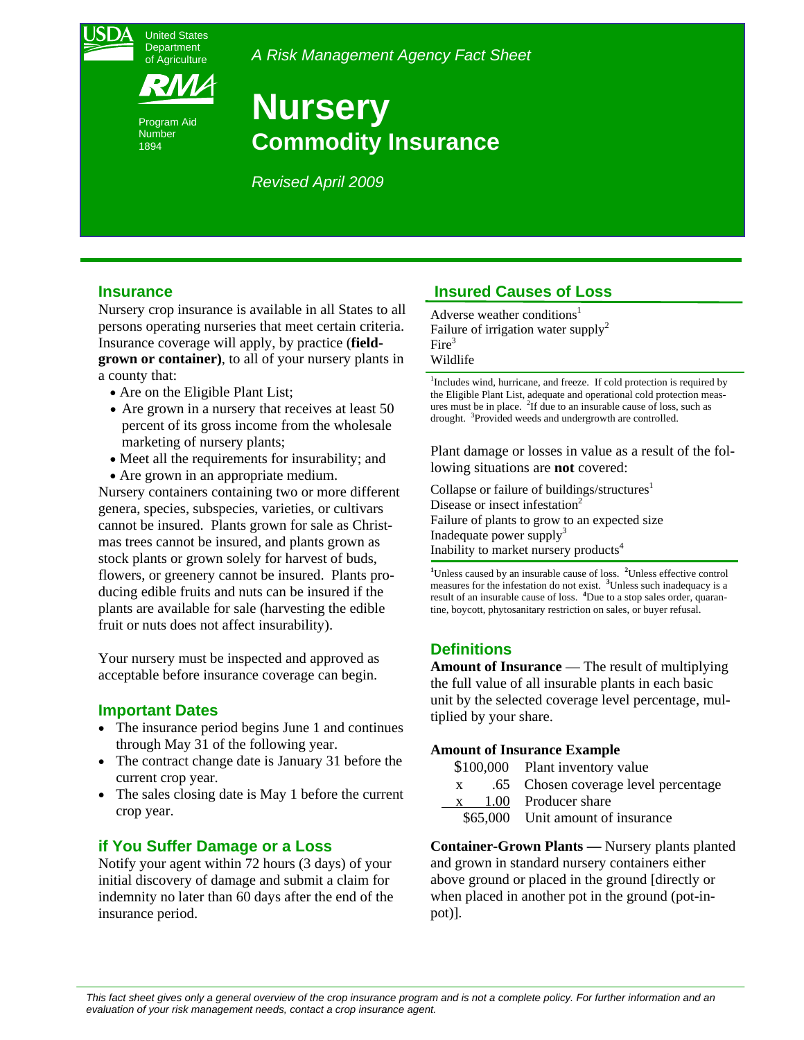

Program Aid Number 1894

*A Risk Management Agency Fact Sheet* 

# **Nursery Commodity Insurance**

*Revised April 2009* 

#### **Insurance**

Nursery crop insurance is available in all States to all persons operating nurseries that meet certain criteria. Insurance coverage will apply, by practice (**fieldgrown or container)**, to all of your nursery plants in a county that:

- Are on the Eligible Plant List;
- Are grown in a nursery that receives at least 50 percent of its gross income from the wholesale marketing of nursery plants;
- Meet all the requirements for insurability; and
- Are grown in an appropriate medium.

Nursery containers containing two or more different genera, species, subspecies, varieties, or cultivars cannot be insured. Plants grown for sale as Christmas trees cannot be insured, and plants grown as stock plants or grown solely for harvest of buds, flowers, or greenery cannot be insured. Plants producing edible fruits and nuts can be insured if the plants are available for sale (harvesting the edible fruit or nuts does not affect insurability).

Your nursery must be inspected and approved as acceptable before insurance coverage can begin.

## **Important Dates**

- The insurance period begins June 1 and continues through May 31 of the following year.
- The contract change date is January 31 before the current crop year.
- The sales closing date is May 1 before the current crop year.

## **if You Suffer Damage or a Loss**

Notify your agent within 72 hours (3 days) of your initial discovery of damage and submit a claim for indemnity no later than 60 days after the end of the insurance period.

# **Insured Causes of Loss**

Failure of irrigation water supply<sup>2</sup> Adverse weather conditions<sup>1</sup> Fire<sup>3</sup> Wildlife

<sup>1</sup>Includes wind, hurricane, and freeze. If cold protection is required by ures must be in place.  ${}^{2}$ If due to an insurable cause of loss, such as drought. <sup>3</sup>Provided weeds and undergrowth are controlled. the Eligible Plant List, adequate and operational cold protection meas-

Plant damage or losses in value as a result of the following situations are **not** covered:

Collapse or failure of buildings/structures $<sup>1</sup>$ </sup> Disease or insect infestation<sup>2</sup> Inadequate power supply $3$ Inability to market nursery products<sup>4</sup> Failure of plants to grow to an expected size

<sup>1</sup>Unless caused by an insurable cause of loss. <sup>2</sup>Unless effective control measures for the infestation do not exist. **<sup>3</sup>** Unless such inadequacy is a result of an insurable cause of loss. **<sup>4</sup>** Due to a stop sales order, quarantine, boycott, phytosanitary restriction on sales, or buyer refusal.

# **Definitions**

**Amount of Insurance** — The result of multiplying the full value of all insurable plants in each basic unit by the selected coverage level percentage, multiplied by your share.

#### **Amount of Insurance Example**

| \$100,000 | Plant inventory value |
|-----------|-----------------------|
|-----------|-----------------------|

- .65 x .65 Chosen coverage level percentage
- x 1.00 Producer share
- \$65,000 Unit amount of insurance

**Container-Grown Plants —** Nursery plants planted and grown in standard nursery containers either above ground or placed in the ground [directly or when placed in another pot in the ground (pot-inpot)].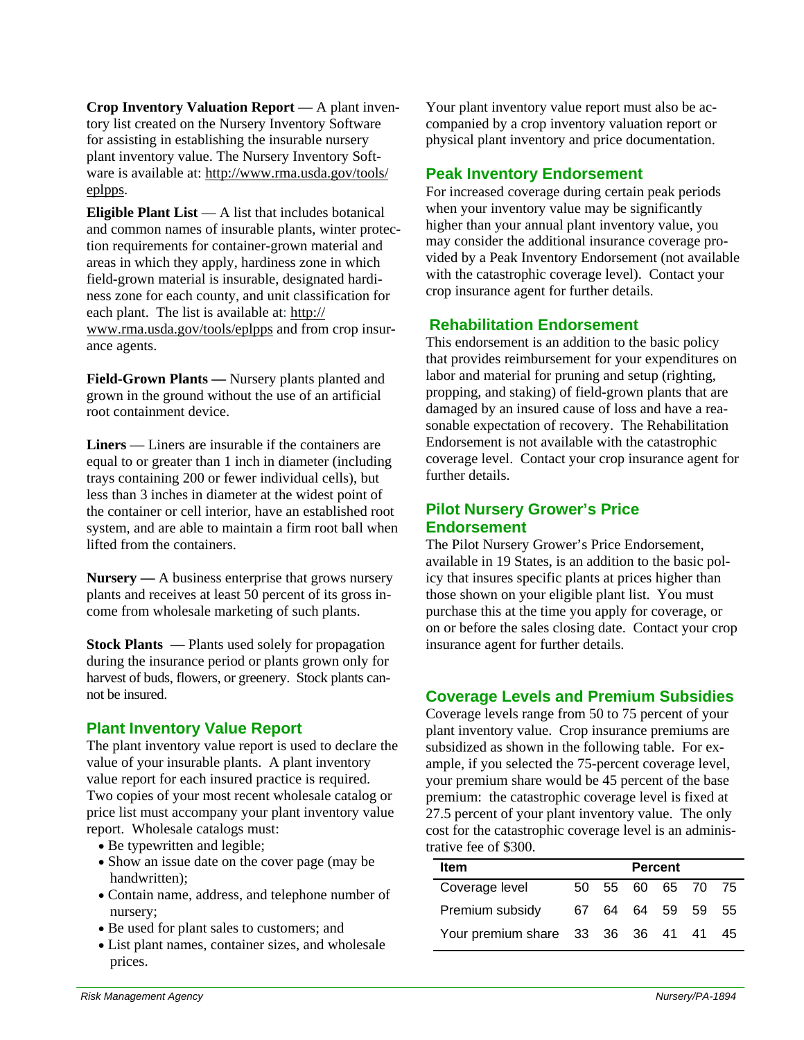**Crop Inventory Valuation Report** — A plant inventory list created on the Nursery Inventory Software for assisting in establishing the insurable nursery plant inventory value. The Nursery Inventory Software is available at: http://www.rma.usda.gov/tools/ eplpps.

**Eligible Plant List** — A list that includes botanical and common names of insurable plants, winter protection requirements for container-grown material and areas in which they apply, hardiness zone in which field-grown material is insurable, designated hardiness zone for each county, and unit classification for each plant. The list is available at: http:// www.rma.usda.gov/tools/eplpps and from crop insurance agents.

**Field-Grown Plants —** Nursery plants planted and grown in the ground without the use of an artificial root containment device.

**Liners** — Liners are insurable if the containers are equal to or greater than 1 inch in diameter (including trays containing 200 or fewer individual cells), but less than 3 inches in diameter at the widest point of the container or cell interior, have an established root system, and are able to maintain a firm root ball when lifted from the containers.

**Nursery —** A business enterprise that grows nursery plants and receives at least 50 percent of its gross income from wholesale marketing of such plants.

**Stock Plants** — Plants used solely for propagation during the insurance period or plants grown only for harvest of buds, flowers, or greenery. Stock plants cannot be insured.

## **Plant Inventory Value Report**

The plant inventory value report is used to declare the value of your insurable plants. A plant inventory value report for each insured practice is required. Two copies of your most recent wholesale catalog or price list must accompany your plant inventory value report. Wholesale catalogs must:

- Be typewritten and legible;
- Show an issue date on the cover page (may be) handwritten);
- Contain name, address, and telephone number of nursery;
- Be used for plant sales to customers; and
- List plant names, container sizes, and wholesale prices.

Your plant inventory value report must also be accompanied by a crop inventory valuation report or physical plant inventory and price documentation.

## **Peak Inventory Endorsement**

For increased coverage during certain peak periods when your inventory value may be significantly higher than your annual plant inventory value, you may consider the additional insurance coverage provided by a Peak Inventory Endorsement (not available with the catastrophic coverage level). Contact your crop insurance agent for further details.

## **Rehabilitation Endorsement**

 labor and material for pruning and setup (righting, This endorsement is an addition to the basic policy that provides reimbursement for your expenditures on propping, and staking) of field-grown plants that are damaged by an insured cause of loss and have a reasonable expectation of recovery. The Rehabilitation Endorsement is not available with the catastrophic coverage level. Contact your crop insurance agent for further details.

## **Pilot Nursery Grower's Price Endorsement**

The Pilot Nursery Grower's Price Endorsement, available in 19 States, is an addition to the basic policy that insures specific plants at prices higher than those shown on your eligible plant list. You must purchase this at the time you apply for coverage, or on or before the sales closing date. Contact your crop insurance agent for further details.

## **Coverage Levels and Premium Subsidies**

Coverage levels range from 50 to 75 percent of your plant inventory value. Crop insurance premiums are subsidized as shown in the following table. For example, if you selected the 75-percent coverage level, your premium share would be 45 percent of the base premium: the catastrophic coverage level is fixed at 27.5 percent of your plant inventory value. The only cost for the catastrophic coverage level is an administrative fee of \$300.

| <b>Item</b>                       | <b>Percent</b> |  |             |  |                |      |
|-----------------------------------|----------------|--|-------------|--|----------------|------|
| Coverage level                    | 50 -           |  | 55 60 65 70 |  |                | - 75 |
| Premium subsidy                   |                |  |             |  | 67 64 64 59 59 | 55   |
| Your premium share 33 36 36 41 41 |                |  |             |  |                | 45   |